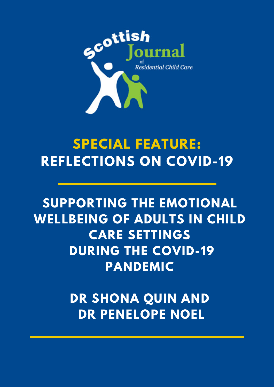

# **SPECIAL FEATURE: REFLECTIONS ON COVID-19**

**SUPPORTING THE EMOTIONAL WELLBEING OF ADULTS IN CHILD CARE SETTINGS DURING THE COVID-19 PANDEMIC**

> **DR SHONA QUIN AND DR PENELOPE NOEL**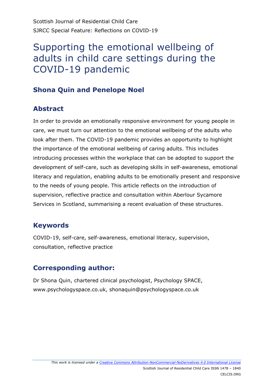## Supporting the emotional wellbeing of adults in child care settings during the COVID-19 pandemic

## **Shona Quin and Penelope Noel**

#### **Abstract**

In order to provide an emotionally responsive environment for young people in care, we must turn our attention to the emotional wellbeing of the adults who look after them. The COVID-19 pandemic provides an opportunity to highlight the importance of the emotional wellbeing of caring adults. This includes introducing processes within the workplace that can be adopted to support the development of self-care, such as developing skills in self-awareness, emotional literacy and regulation, enabling adults to be emotionally present and responsive to the needs of young people. This article reflects on the introduction of supervision, reflective practice and consultation within Aberlour Sycamore Services in Scotland, summarising a recent evaluation of these structures.

#### **Keywords**

COVID-19, self-care, self-awareness, emotional literacy, supervision, consultation, reflective practice

## **Corresponding author:**

Dr Shona Quin, chartered clinical psychologist, Psychology SPACE, www.psychologyspace.co.uk, shonaquin@psychologyspace.co.uk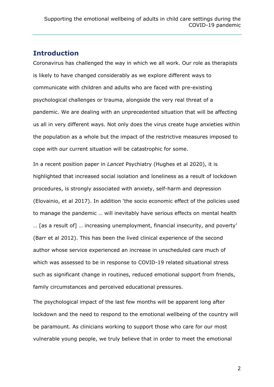#### **Introduction**

Coronavirus has challenged the way in which we all work. Our role as therapists is likely to have changed considerably as we explore different ways to communicate with children and adults who are faced with pre-existing psychological challenges or trauma, alongside the very real threat of a pandemic. We are dealing with an unprecedented situation that will be affecting us all in very different ways. Not only does the virus create huge anxieties within the population as a whole but the impact of the restrictive measures imposed to cope with our current situation will be catastrophic for some.

In a recent position paper in *Lancet* Psychiatry (Hughes et al 2020), it is highlighted that increased social isolation and loneliness as a result of lockdown procedures, is strongly associated with anxiety, self-harm and depression (Elovainio, et al 2017). In addition 'the socio economic effect of the policies used to manage the pandemic … will inevitably have serious effects on mental health … [as a result of] … increasing unemployment, financial insecurity, and poverty' (Barr et al 2012). This has been the lived clinical experience of the second author whose service experienced an increase in unscheduled care much of which was assessed to be in response to COVID-19 related situational stress such as significant change in routines, reduced emotional support from friends, family circumstances and perceived educational pressures.

The psychological impact of the last few months will be apparent long after lockdown and the need to respond to the emotional wellbeing of the country will be paramount. As clinicians working to support those who care for our most vulnerable young people, we truly believe that in order to meet the emotional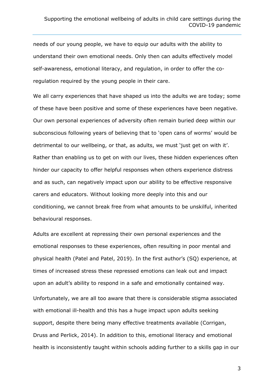needs of our young people, we have to equip our adults with the ability to understand their own emotional needs. Only then can adults effectively model self-awareness, emotional literacy, and regulation, in order to offer the coregulation required by the young people in their care.

We all carry experiences that have shaped us into the adults we are today; some of these have been positive and some of these experiences have been negative. Our own personal experiences of adversity often remain buried deep within our subconscious following years of believing that to 'open cans of worms' would be detrimental to our wellbeing, or that, as adults, we must 'just get on with it'. Rather than enabling us to get on with our lives, these hidden experiences often hinder our capacity to offer helpful responses when others experience distress and as such, can negatively impact upon our ability to be effective responsive carers and educators. Without looking more deeply into this and our conditioning, we cannot break free from what amounts to be unskilful, inherited behavioural responses.

Adults are excellent at repressing their own personal experiences and the emotional responses to these experiences, often resulting in poor mental and physical health (Patel and Patel, 2019). In the first author's (SQ) experience, at times of increased stress these repressed emotions can leak out and impact upon an adult's ability to respond in a safe and emotionally contained way. Unfortunately, we are all too aware that there is considerable stigma associated with emotional ill-health and this has a huge impact upon adults seeking support, despite there being many effective treatments available (Corrigan, Druss and Perlick, 2014). In addition to this, emotional literacy and emotional health is inconsistently taught within schools adding further to a skills gap in our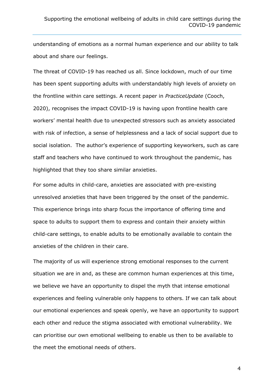understanding of emotions as a normal human experience and our ability to talk about and share our feelings.

The threat of COVID-19 has reached us all. Since lockdown, much of our time has been spent supporting adults with understandably high levels of anxiety on the frontline within care settings. A recent paper in *PracticeUpdate* (Cooch, 2020), recognises the impact COVID-19 is having upon frontline health care workers' mental health due to unexpected stressors such as anxiety associated with risk of infection, a sense of helplessness and a lack of social support due to social isolation. The author's experience of supporting keyworkers, such as care staff and teachers who have continued to work throughout the pandemic, has highlighted that they too share similar anxieties.

For some adults in child-care, anxieties are associated with pre-existing unresolved anxieties that have been triggered by the onset of the pandemic. This experience brings into sharp focus the importance of offering time and space to adults to support them to express and contain their anxiety within child-care settings, to enable adults to be emotionally available to contain the anxieties of the children in their care.

The majority of us will experience strong emotional responses to the current situation we are in and, as these are common human experiences at this time, we believe we have an opportunity to dispel the myth that intense emotional experiences and feeling vulnerable only happens to others. If we can talk about our emotional experiences and speak openly, we have an opportunity to support each other and reduce the stigma associated with emotional vulnerability. We can prioritise our own emotional wellbeing to enable us then to be available to the meet the emotional needs of others.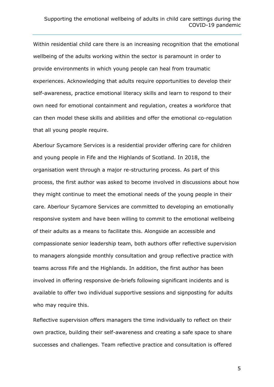Within residential child care there is an increasing recognition that the emotional wellbeing of the adults working within the sector is paramount in order to provide environments in which young people can heal from traumatic experiences. Acknowledging that adults require opportunities to develop their self-awareness, practice emotional literacy skills and learn to respond to their own need for emotional containment and regulation, creates a workforce that can then model these skills and abilities and offer the emotional co-regulation that all young people require.

Aberlour Sycamore Services is a residential provider offering care for children and young people in Fife and the Highlands of Scotland. In 2018, the organisation went through a major re-structuring process. As part of this process, the first author was asked to become involved in discussions about how they might continue to meet the emotional needs of the young people in their care. Aberlour Sycamore Services are committed to developing an emotionally responsive system and have been willing to commit to the emotional wellbeing of their adults as a means to facilitate this. Alongside an accessible and compassionate senior leadership team, both authors offer reflective supervision to managers alongside monthly consultation and group reflective practice with teams across Fife and the Highlands. In addition, the first author has been involved in offering responsive de-briefs following significant incidents and is available to offer two individual supportive sessions and signposting for adults who may require this.

Reflective supervision offers managers the time individually to reflect on their own practice, building their self-awareness and creating a safe space to share successes and challenges. Team reflective practice and consultation is offered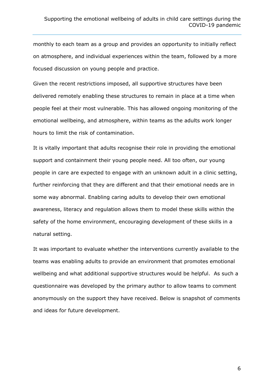monthly to each team as a group and provides an opportunity to initially reflect on atmosphere, and individual experiences within the team, followed by a more focused discussion on young people and practice.

Given the recent restrictions imposed, all supportive structures have been delivered remotely enabling these structures to remain in place at a time when people feel at their most vulnerable. This has allowed ongoing monitoring of the emotional wellbeing, and atmosphere, within teams as the adults work longer hours to limit the risk of contamination.

It is vitally important that adults recognise their role in providing the emotional support and containment their young people need. All too often, our young people in care are expected to engage with an unknown adult in a clinic setting, further reinforcing that they are different and that their emotional needs are in some way abnormal. Enabling caring adults to develop their own emotional awareness, literacy and regulation allows them to model these skills within the safety of the home environment, encouraging development of these skills in a natural setting.

It was important to evaluate whether the interventions currently available to the teams was enabling adults to provide an environment that promotes emotional wellbeing and what additional supportive structures would be helpful. As such a questionnaire was developed by the primary author to allow teams to comment anonymously on the support they have received. Below is snapshot of comments and ideas for future development.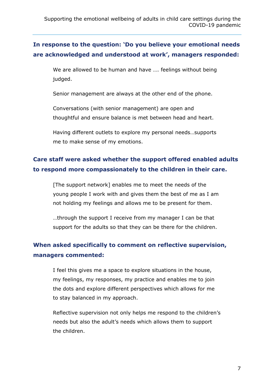#### **In response to the question: 'Do you believe your emotional needs are acknowledged and understood at work', managers responded:**

We are allowed to be human and have …. feelings without being judged.

Senior management are always at the other end of the phone.

Conversations (with senior management) are open and thoughtful and ensure balance is met between head and heart.

Having different outlets to explore my personal needs…supports me to make sense of my emotions.

## **Care staff were asked whether the support offered enabled adults to respond more compassionately to the children in their care.**

[The support network] enables me to meet the needs of the young people I work with and gives them the best of me as I am not holding my feelings and allows me to be present for them.

…through the support I receive from my manager I can be that support for the adults so that they can be there for the children.

#### **When asked specifically to comment on reflective supervision, managers commented:**

I feel this gives me a space to explore situations in the house, my feelings, my responses, my practice and enables me to join the dots and explore different perspectives which allows for me to stay balanced in my approach.

Reflective supervision not only helps me respond to the children's needs but also the adult's needs which allows them to support the children.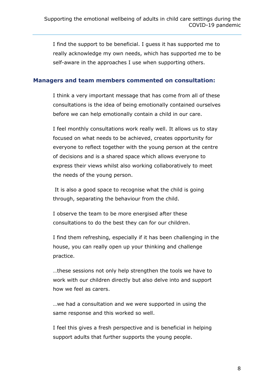I find the support to be beneficial. I guess it has supported me to really acknowledge my own needs, which has supported me to be self-aware in the approaches I use when supporting others.

#### **Managers and team members commented on consultation:**

I think a very important message that has come from all of these consultations is the idea of being emotionally contained ourselves before we can help emotionally contain a child in our care.

I feel monthly consultations work really well. It allows us to stay focused on what needs to be achieved, creates opportunity for everyone to reflect together with the young person at the centre of decisions and is a shared space which allows everyone to express their views whilst also working collaboratively to meet the needs of the young person.

It is also a good space to recognise what the child is going through, separating the behaviour from the child.

I observe the team to be more energised after these consultations to do the best they can for our children.

I find them refreshing, especially if it has been challenging in the house, you can really open up your thinking and challenge practice.

…these sessions not only help strengthen the tools we have to work with our children directly but also delve into and support how we feel as carers.

…we had a consultation and we were supported in using the same response and this worked so well.

I feel this gives a fresh perspective and is beneficial in helping support adults that further supports the young people.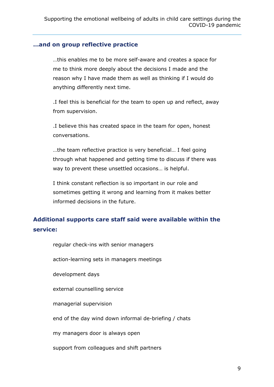#### **…and on group reflective practice**

…this enables me to be more self-aware and creates a space for me to think more deeply about the decisions I made and the reason why I have made them as well as thinking if I would do anything differently next time.

.I feel this is beneficial for the team to open up and reflect, away from supervision.

.I believe this has created space in the team for open, honest conversations.

…the team reflective practice is very beneficial… I feel going through what happened and getting time to discuss if there was way to prevent these unsettled occasions… is helpful.

I think constant reflection is so important in our role and sometimes getting it wrong and learning from it makes better informed decisions in the future.

#### **Additional supports care staff said were available within the service:**

regular check-ins with senior managers

action-learning sets in managers meetings

development days

external counselling service

managerial supervision

end of the day wind down informal de-briefing / chats

my managers door is always open

support from colleagues and shift partners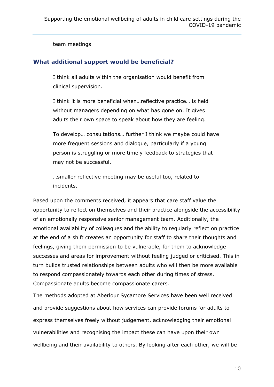team meetings

#### **What additional support would be beneficial?**

I think all adults within the organisation would benefit from clinical supervision.

I think it is more beneficial when…reflective practice… is held without managers depending on what has gone on. It gives adults their own space to speak about how they are feeling.

To develop… consultations… further I think we maybe could have more frequent sessions and dialogue, particularly if a young person is struggling or more timely feedback to strategies that may not be successful.

…smaller reflective meeting may be useful too, related to incidents.

Based upon the comments received, it appears that care staff value the opportunity to reflect on themselves and their practice alongside the accessibility of an emotionally responsive senior management team. Additionally, the emotional availability of colleagues and the ability to regularly reflect on practice at the end of a shift creates an opportunity for staff to share their thoughts and feelings, giving them permission to be vulnerable, for them to acknowledge successes and areas for improvement without feeling judged or criticised. This in turn builds trusted relationships between adults who will then be more available to respond compassionately towards each other during times of stress. Compassionate adults become compassionate carers.

The methods adopted at Aberlour Sycamore Services have been well received and provide suggestions about how services can provide forums for adults to express themselves freely without judgement, acknowledging their emotional vulnerabilities and recognising the impact these can have upon their own wellbeing and their availability to others. By looking after each other, we will be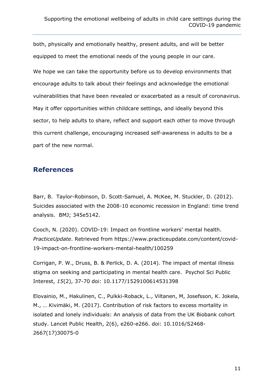both, physically and emotionally healthy, present adults, and will be better equipped to meet the emotional needs of the young people in our care.

We hope we can take the opportunity before us to develop environments that encourage adults to talk about their feelings and acknowledge the emotional vulnerabilities that have been revealed or exacerbated as a result of coronavirus. May it offer opportunities within childcare settings, and ideally beyond this sector, to help adults to share, reflect and support each other to move through this current challenge, encouraging increased self-awareness in adults to be a part of the new normal.

#### **References**

Barr, B. Taylor-Robinson, D. Scott-Samuel, A. McKee, M. Stuckler, D. (2012). Suicides associated with the 2008-10 economic recession in England: time trend analysis. BMJ; 345e5142.

Cooch, N. (2020). COVID-19: Impact on frontline workers' mental health. *PracticeUpdate*. Retrieved from https://www.practiceupdate.com/content/covid-19-impact-on-frontline-workers-mental-health/100259

Corrigan, P. W., Druss, B. & Perlick, D. A. (2014). The impact of mental illness stigma on seeking and participating in mental health care. Psychol Sci Public Interest, *15*(2), 37-70 doi: [10.1177/1529100614531398](https://doi.org/10.1177/1529100614531398)

Elovainio, M., Hakulinen, C., Pulkki-Roback, L., Viltanen, M, Josefsson, K. Jokela, M., … Kivimäki, M. (2017). Contribution of risk factors to excess mortality in isolated and lonely individuals: An analysis of data from the UK Biobank cohort study. Lancet Public Health, 2(6), e260-e266. doi: 10.1016/S2468- 2667(17)30075-0